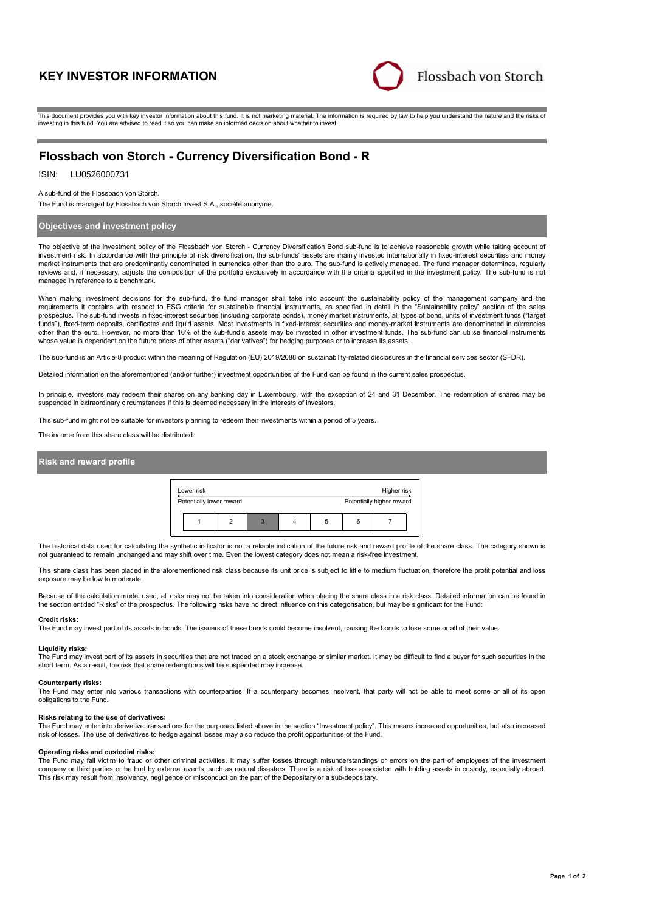# **KEY INVESTOR INFORMATION**



This document provides you with key investor information about this fund. It is not marketing material. The information is required by law to help you understand the nature and the risks of investing in this fund. You are advised to read it so you can make an informed decision about whether to invest.

# **Flossbach von Storch - Currency Diversification Bond - R**

ISIN: LU0526000731

A sub-fund of the Flossbach von Storch.

The Fund is managed by Flossbach von Storch Invest S.A., société anonyme.

## **Objectives and investment policy**

The objective of the investment policy of the Flossbach von Storch - Currency Diversification Bond sub-fund is to achieve reasonable growth while taking account of investment risk. In accordance with the principle of risk diversification, the sub-funds' assets are mainly invested internationally in fixed-interest securities and money market instruments that are predominantly denominated in currencies other than the euro. The sub-fund is actively managed. The fund manager determines, regularly reviews and, if necessary, adjusts the composition of the portfolio exclusively in accordance with the criteria specified in the investment policy. The sub-fund is not managed in reference to a benchmark.

When making investment decisions for the sub-fund, the fund manager shall take into account the sustainability policy of the management company and the requirements it contains with respect to ESG criteria for sustainable financial instruments, as specified in detail in the "Sustainability policy" section of the sales prospectus. The sub-fund invests in fixed-interest securities (including corporate bonds), money market instruments, all types of bond, units of investment funds ("target funds"), fixed-term deposits, certificates and liquid assets. Most investments in fixed-interest securities and money-market instruments are denominated in currencies other than the euro. However, no more than 10% of the sub-fund's assets may be invested in other investment funds. The sub-fund can utilise financial instruments<br>whose value is dependent on the future prices of other asset

The sub-fund is an Article-8 product within the meaning of Regulation (EU) 2019/2088 on sustainability-related disclosures in the financial services sector (SFDR).

Detailed information on the aforementioned (and/or further) investment opportunities of the Fund can be found in the current sales prospectus.

In principle, investors may redeem their shares on any banking day in Luxembourg, with the exception of 24 and 31 December. The redemption of shares may be suspended in extraordinary circumstances if this is deemed necessary in the interests of investors.

This sub-fund might not be suitable for investors planning to redeem their investments within a period of 5 years.

The income from this share class will be distributed.

## **Risk and reward profile**

| Lower risk<br>Higher risk |                          |   |   |  |   |  |                           |  |
|---------------------------|--------------------------|---|---|--|---|--|---------------------------|--|
|                           | Potentially lower reward |   |   |  |   |  | Potentially higher reward |  |
|                           |                          | ≘ | 3 |  | 5 |  |                           |  |

The historical data used for calculating the synthetic indicator is not a reliable indication of the future risk and reward profile of the share class. The category shown is not guaranteed to remain unchanged and may shift over time. Even the lowest category does not mean a risk-free investment.

This share class has been placed in the aforementioned risk class because its unit price is subject to little to medium fluctuation, therefore the profit potential and loss exposure may be low to moderate.

Because of the calculation model used, all risks may not be taken into consideration when placing the share class in a risk class. Detailed information can be found in the section entitled "Risks" of the prospectus. The following risks have no direct influence on this categorisation, but may be significant for the Fund:

#### **Credit risks:**

The Fund may invest part of its assets in bonds. The issuers of these bonds could become insolvent, causing the bonds to lose some or all of their value.

#### **Liquidity risks:**

The Fund may invest part of its assets in securities that are not traded on a stock exchange or similar market. It may be difficult to find a buyer for such securities in the short term. As a result, the risk that share redemptions will be suspended may increase.

#### **Counterparty risks:**

The Fund may enter into various transactions with counterparties. If a counterparty becomes insolvent, that party will not be able to meet some or all of its open obligations to the Fund.

### **Risks relating to the use of derivatives:**

The Fund may enter into derivative transactions for the purposes listed above in the section "Investment policy". This means increased opportunities, but also increased risk of losses. The use of derivatives to hedge against losses may also reduce the profit opportunities of the Fund.

#### **Operating risks and custodial risks:**

The Fund may fall victim to fraud or other criminal activities. It may suffer losses through misunderstandings or errors on the part of employees of the investment company or third parties or be hurt by external events, such as natural disasters. There is a risk of loss associated with holding assets in custody, especially abroad. This risk may result from insolvency, negligence or misconduct on the part of the Depositary or a sub-depositary.